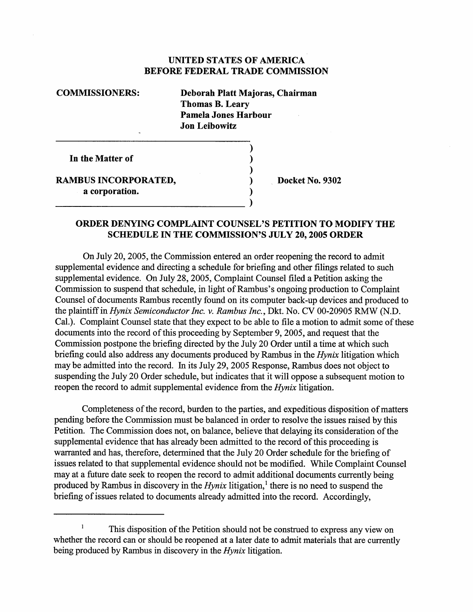## UNITED STATES OF AMERICA BEFORE FEDERAL TRADE COMMISSION

## COMMISSIONERS: Deborah Platt Majoras, Chairman Thomas B. Leary Pamela Jones Harbour Jon Leibowitz  $\lambda$ In the Matter of  $\lambda$  $\lambda$ RAMBUS INCORPORATED, 2008 Docket No. 9302

a corporation.

## ORDER DENYING COMPLAINT COUNSEL'S PETITION TO MODIFY THE SCHEDULE IN THE COMMISSION'S JULY 20, 2005 ORDER

 $\lambda$ 

On July 20, 2005 , the Commission entered an order reopening the record to admit supplemental evidence and directing a schedule for briefing and other fiings related to such supplemental evidence. On July 28, 2005, Complaint Counsel filed a Petition asking the Commission to suspend that schedule, in light of Rambus's ongoing production to Complaint Counsel of documents Rambus recently found on its computer back-up devices and produced to the plaintiff in Hynix Semiconductor Inc. v. Rambus Inc., Dkt. No. CV 00-20905 RMW (N.D. Cal.). Complaint Counsel state that they expect to be able to file a motion to admit some of these documents into the record of this proceeding by September 9, 2005, and request that the Commission postpone the briefing directed by the July 20 Order until a time at which such briefing could also address any documents produced by Rambus in the Hynix litigation which may be admitted into the record. In its July 29 2005 Response, Rambus does not object to suspending the July 20 Order schedule, but indicates that it will oppose a subsequent motion to reopen the record to admit supplemental evidence from the *Hynix* litigation.

Completeness of the record, burden to the paries, and expeditious disposition of matters pending before the Commission must be balanced in order to resolve the issues raised by this Petition. The Commission does not, on balance, believe that delaying its consideration of the supplemental evidence that has already been admitted to the record of this proceeding is warranted and has, therefore, determined that the July 20 Order schedule for the briefing of issues related to that supplemental evidence should not be modified. While Complaint Counsel may at a future date seek to reopen the record to admit additional documents currently being produced by Rambus in discovery in the  $Hynix$  litigation,<sup>1</sup> there is no need to suspend the briefing of issues related to documents already admitted into the record. Accordingly,

 $\mathbf{1}$ This disposition of the Petition should not be constred to express any view on whether the record can or should be reopened at a later date to admit materials that are currently being produced by Rambus in discovery in the *Hynix* litigation.